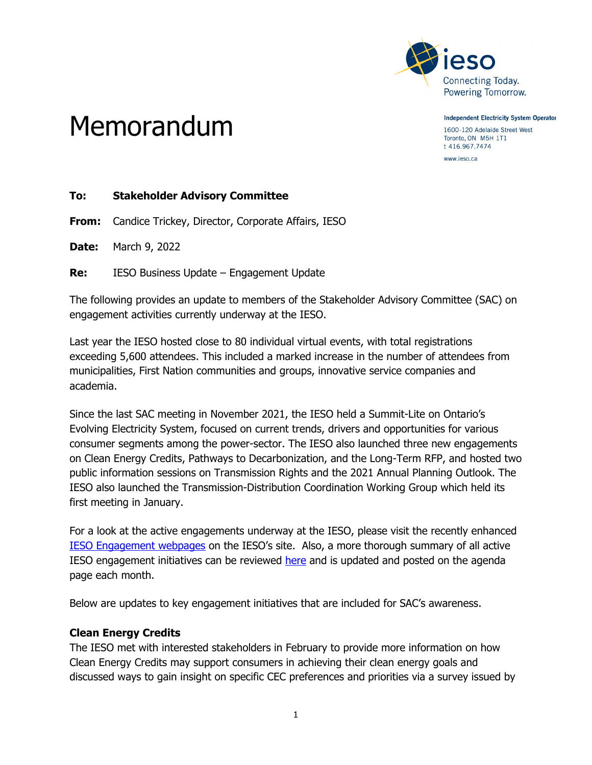

Memorandum

**Independent Electricity System Operator** 1600-120 Adelaide Street West Toronto, ON M5H 1T1

t 416.967.7474 www.ieso.ca

#### **To: Stakeholder Advisory Committee**

**From:** Candice Trickey, Director, Corporate Affairs, IESO

**Date:** March 9, 2022

**Re:** IESO Business Update – Engagement Update

The following provides an update to members of the Stakeholder Advisory Committee (SAC) on engagement activities currently underway at the IESO.

Last year the IESO hosted close to 80 individual virtual events, with total registrations exceeding 5,600 attendees. This included a marked increase in the number of attendees from municipalities, First Nation communities and groups, innovative service companies and academia.

Since the last SAC meeting in November 2021, the IESO held a Summit-Lite on Ontario's Evolving Electricity System, focused on current trends, drivers and opportunities for various consumer segments among the power-sector. The IESO also launched three new engagements on Clean Energy Credits, Pathways to Decarbonization, and the Long-Term RFP, and hosted two public information sessions on Transmission Rights and the 2021 Annual Planning Outlook. The IESO also launched the Transmission-Distribution Coordination Working Group which held its first meeting in January.

For a look at the active engagements underway at the IESO, please visit the recently enhanced [IESO Engagement webpages](https://ieso.ca/en/Sector-Participants/Engagement-Initiatives/Engagements) on the IESO's site. Also, a more thorough summary of all active IESO engagement initiatives can be reviewed [here](https://ieso.ca/-/media/Files/IESO/Document-Library/engage/Engagement-Updates/ieso-engagement-updates-february-2022.ashx) and is updated and posted on the agenda page each month.

Below are updates to key engagement initiatives that are included for SAC's awareness.

## **Clean Energy Credits**

The IESO met with interested stakeholders in February to provide more information on how Clean Energy Credits may support consumers in achieving their clean energy goals and discussed ways to gain insight on specific CEC preferences and priorities via a survey issued by